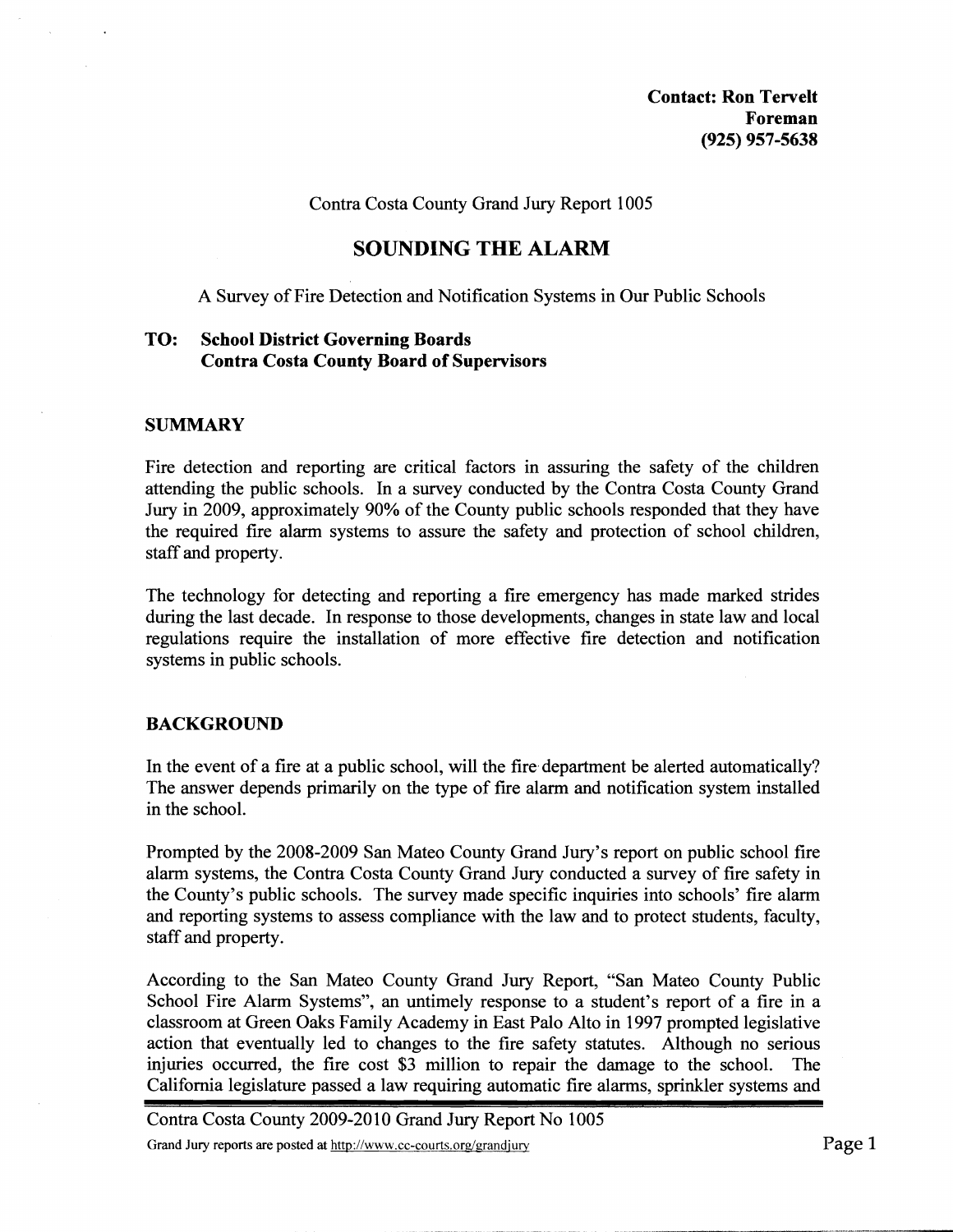**Contact: Ron Tervelt Foreman (925) 957-5638** 

Contra Costa County Grand Jury Report 1005

# **SOUNDING THE ALARM**

A Survey of Fire Detection and Notification Systems in Our Public Schools

## **TO: School District Governing Boards Contra Costa County Board of Supervisors**

#### **SUMMARY**

Fire detection and reporting are critical factors in assuring the safety of the children attending the public schools. In a survey conducted by the Contra Costa County Grand Jury in 2009, approximately 90% of the County public schools responded that they have the required fire alarm systems to assure the safety and protection of school children, staff and property.

The technology for detecting and reporting a fire emergency has made marked strides during the last decade. In response to those developments, changes in state law and local regulations require the installation of more effective fire detection and notification systems in public schools.

## **BACKGROUND**

In the event of a fire at a public school, will the fire department be alerted automatically? The answer depends primarily on the type of fire alarm and notification system installed in the school.

Prompted by the 2008-2009 San Mateo County Grand Jury's report on public school fire alarm systems, the Contra Costa County Grand Jury conducted a survey of fire safety in the County's public schools. The survey made specific inquiries into schools' fire alarm and reporting systems to assess compliance with the law and to protect students, faculty, staff and property.

According to the San Mateo County Grand Jury Report, "San Mateo County Public School Fire Alarm Systems", an untimely response to a student's report of a fire in a classroom at Green Oaks Family Academy in East Palo Alto in 1997 prompted legislative action that eventually led to changes to the fire safety statutes. Although no serious injuries occurred, the fire cost **\$3** million to repair the damage to the school. The California legislature passed a law requiring automatic fire alarms, sprinkler systems and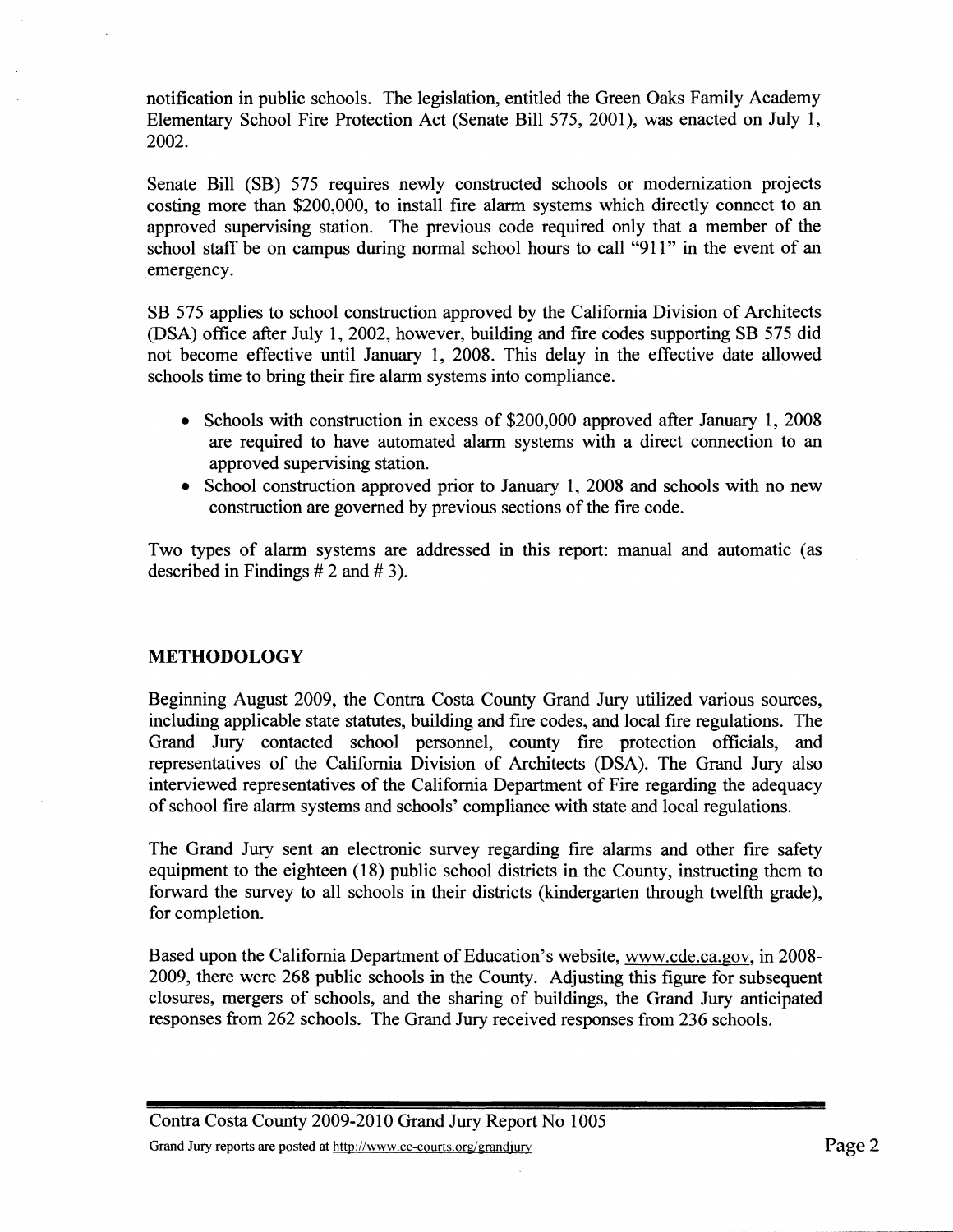notification in public schools. The legislation, entitled the Green Oaks Family Academy Elementary School Fire Protection Act (Senate Bill 575, 2001), was enacted on July 1, 2002.

Senate Bill (SB) 575 requires newly constructed schools or modernization projects costing more than \$200,000, to install fire alarm systems which directly connect to an approved supervising station. The previous code required only that a member of the school staff be on campus during normal school hours to call "911" in the event of an emergency.

SB 575 applies to school construction approved by the California Division of Architects (DSA) office after July 1,2002, however, building and fire codes supporting SB 575 did not become effective until January 1, 2008. This delay in the effective date allowed schools time to bring their fire alarm systems into compliance.

- Schools with construction in excess of \$200,000 approved after January 1, 2008 are required to have automated alarm systems with a direct connection to an approved supervising station.
- School construction approved prior to January 1, 2008 and schools with no new construction are governed by previous sections of the fire code.

Two types of alarm systems are addressed in this report: manual and automatic (as described in Findings # 2 and # **3).** 

## **METHODOLOGY**

Beginning August 2009, the Contra Costa County Grand Jury utilized various sources, including applicable state statutes, building and fire codes, and local fire regulations. The Grand Jury contacted school personnel, county fire protection officials, and representatives of the California Division of Architects (DSA). The Grand Jury also interviewed representatives of the California Department of Fire regarding the adequacy of school fire alarm systems and schools' compliance with state and local regulations.

The Grand Jury sent an electronic survey regarding fire alarms and other fire safety equipment to the eighteen (18) public school districts in the County, instructing them to forward the survey to all schools in their districts (kindergarten through twelfth grade), for completion.

Based upon the California Department of Education's website, www.cde.ca.gov, in 2008- 2009, there were 268 public schools in the County. Adjusting this figure for subsequent closures, mergers of schools, and the sharing of buildings, the Grand Jury anticipated responses from 262 schools. The Grand Jury received responses from 236 schools.

Contra Costa County 2009-2010 Grand Jury Report No 1005 Grand Jury reports are posted at  $\frac{http://www.cc-courts.org/grandjur}{http://www.cc-courts.org/grandjur}$  Page 2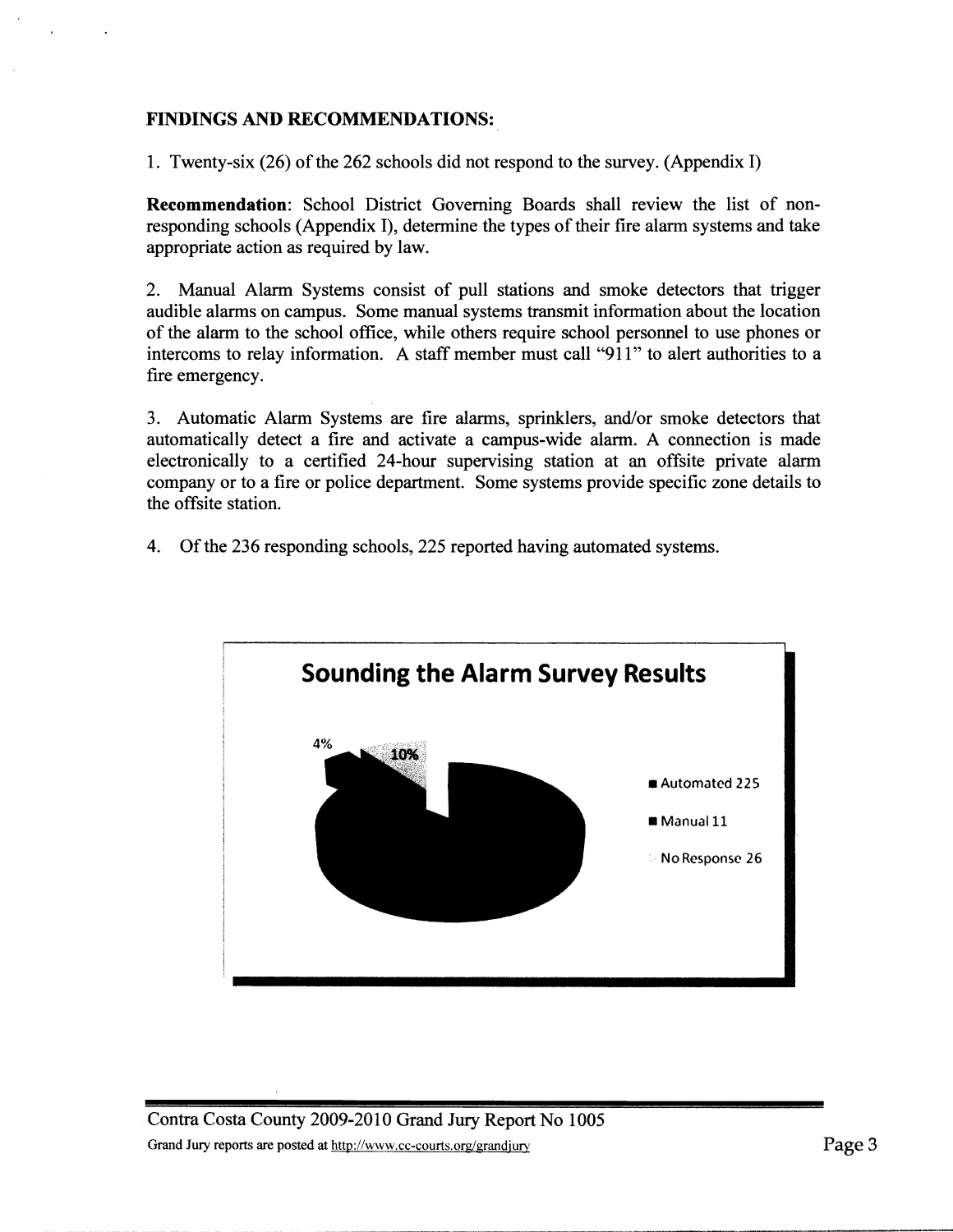## **FINDINGS AND RECOMMENDATIONS:**

1. Twenty-six (26) of the 262 schools did not respond to the survey. (Appendix I)

**Recommendation:** School District Governing Boards shall review the list of nonresponding schools (Appendix I), determine the types of their fire alarm systems and take appropriate action **as** required by law.

2. Manual Alarm Systems consist of pull stations and smoke detectors that trigger audible alarms on campus. Some manual systems transmit information about the location of the alarm to the school ofice, while others require school personnel to use phones or intercoms to relay information. A staff member must call "911" to alert authorities to a fire emergency.

3. Automatic Alarm Systems are fire alarms, sprinklers, and/or smoke detectors that automatically detect a fire and activate a campus-wide alarm. A connection is made electronically to a certified 24-hour supervising station at an offsite private alarm company or to a fire or police department. Some systems provide specific zone details to the offsite station.

4. Of the 236 responding schools, 225 reported having automated systems.

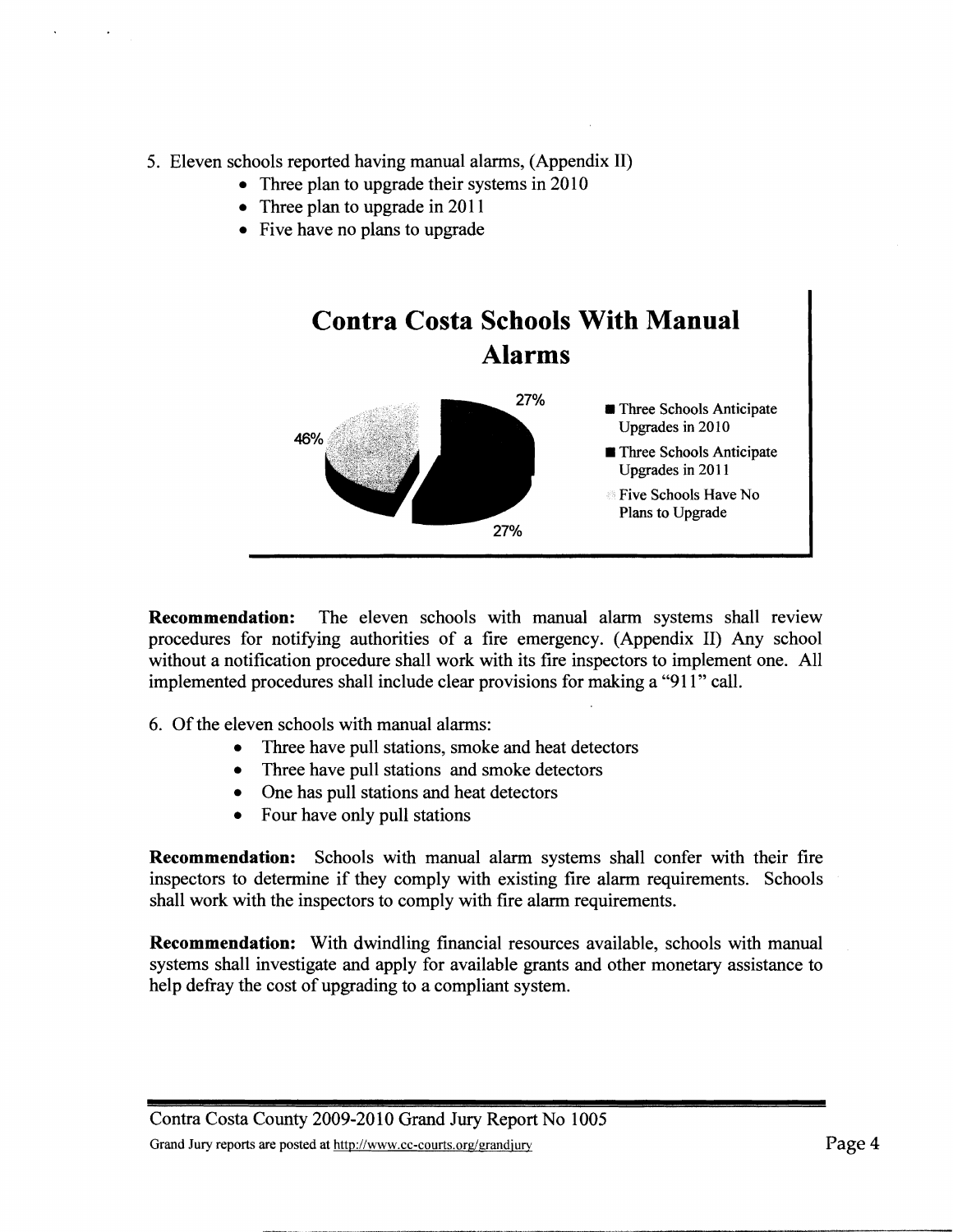- 5. Eleven schools reported having manual alarms, (Appendix **11)** 
	- Three plan to upgrade their systems in 2010
	- Three plan to upgrade in 2011
	- Five have no plans to upgrade



**Recommendation:** The eleven schools with manual alarm systems shall review procedures for notifying authorities of a fire emergency. (Appendix 11) Any school without a notification procedure shall work with its fire inspectors to implement one. All implemented procedures shall include clear provisions for making a "91 1" call.

6. Of the eleven schools with manual alarms:

- Three have pull stations, smoke and heat detectors  $\bullet$
- Three have pull stations and smoke detectors
- One has pull stations and heat detectors
- Four have only pull stations

**Recommendation:** Schools with manual alarm systems shall confer with their fire inspectors to determine if they comply with existing fire alarm requirements. Schools shall work with the inspectors to comply with fire alarm requirements.

**Recommendation:** With dwindling financial resources available, schools with manual systems shall investigate and apply for available grants and other monetary assistance to help defiay the cost of upgrading to a compliant system.

Contra Costa County 2009-2010 Grand Jury Report No 1005 Grand Jury reports are posted at http://www.cc-courts.org/grandjury **Page 4 Page 4 Page 4**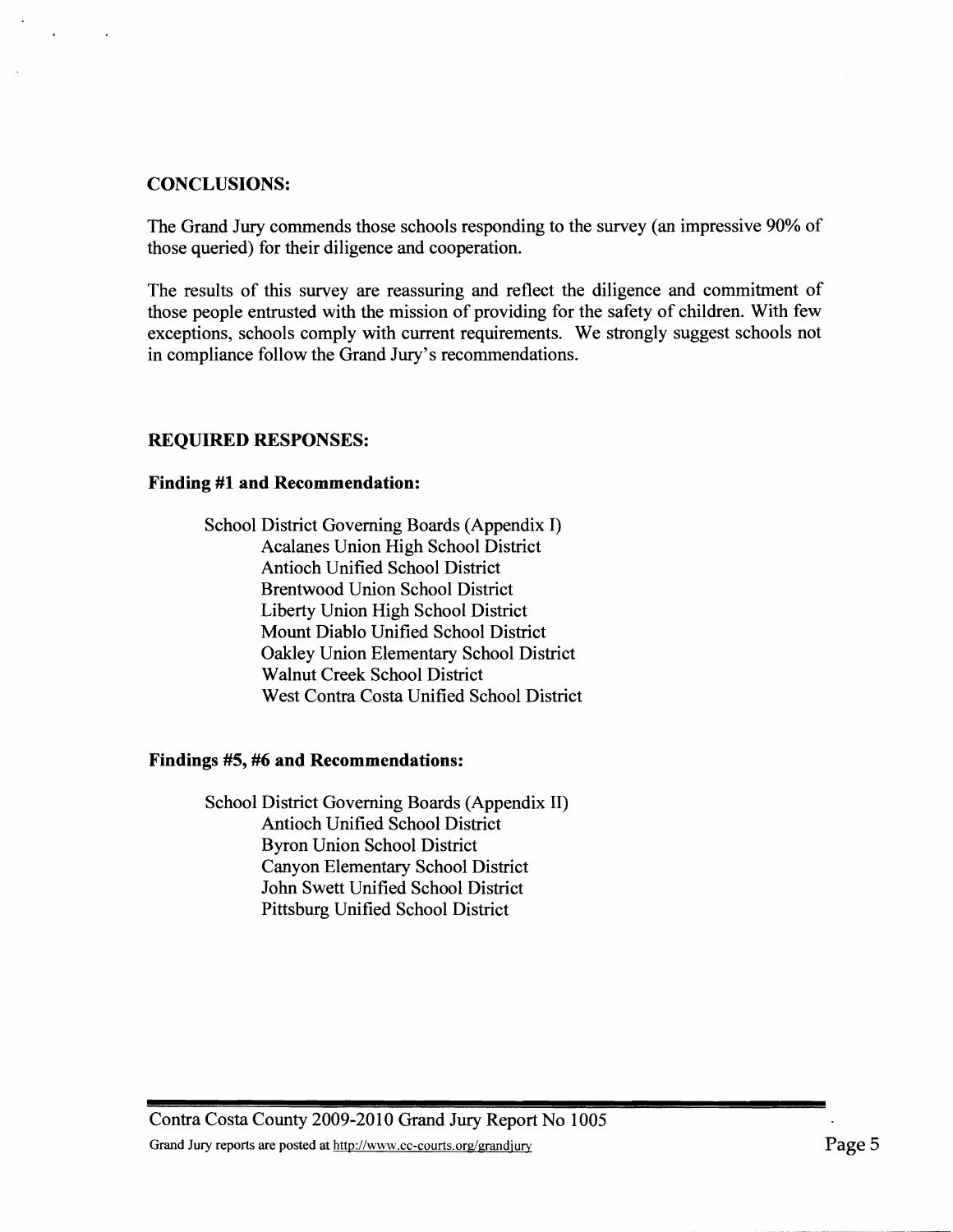## **CONCLUSIONS:**

The Grand Jury commends those schools responding to the survey (an impressive 90% of those queried) for their diligence and cooperation.

The results of this survey are reassuring and reflect the diligence and commitment of those people entrusted with the mission of providing for the safety of children. With few exceptions, schools comply with current requirements. We strongly suggest schools not in compliance follow the Grand Jury's recommendations.

## **REQUIRED RESPONSES:**

### **Finding #1 and Recommendation:**

School District Governing Boards (Appendix I) Acalanes Union High School District Antioch Unified School District Brentwood Union School District Liberty Union High School District Mount Diablo Unified School District Oakley Union Elementary School District Walnut Creek School District West Contra Costa Unified School District

## **Findings #5, #6 and Recommendations:**

School District Governing Boards (Appendix **11)**  Antioch Unified School District Byron Union School District Canyon Elementary School District John Swett Unified School District Pittsburg Unified School District

Contra Costa County 2009-2010 Grand Jury Report No 1005 Grand Jury reports are posted at http://www.cc-courts.org/grandjury **Page 5 Page 5**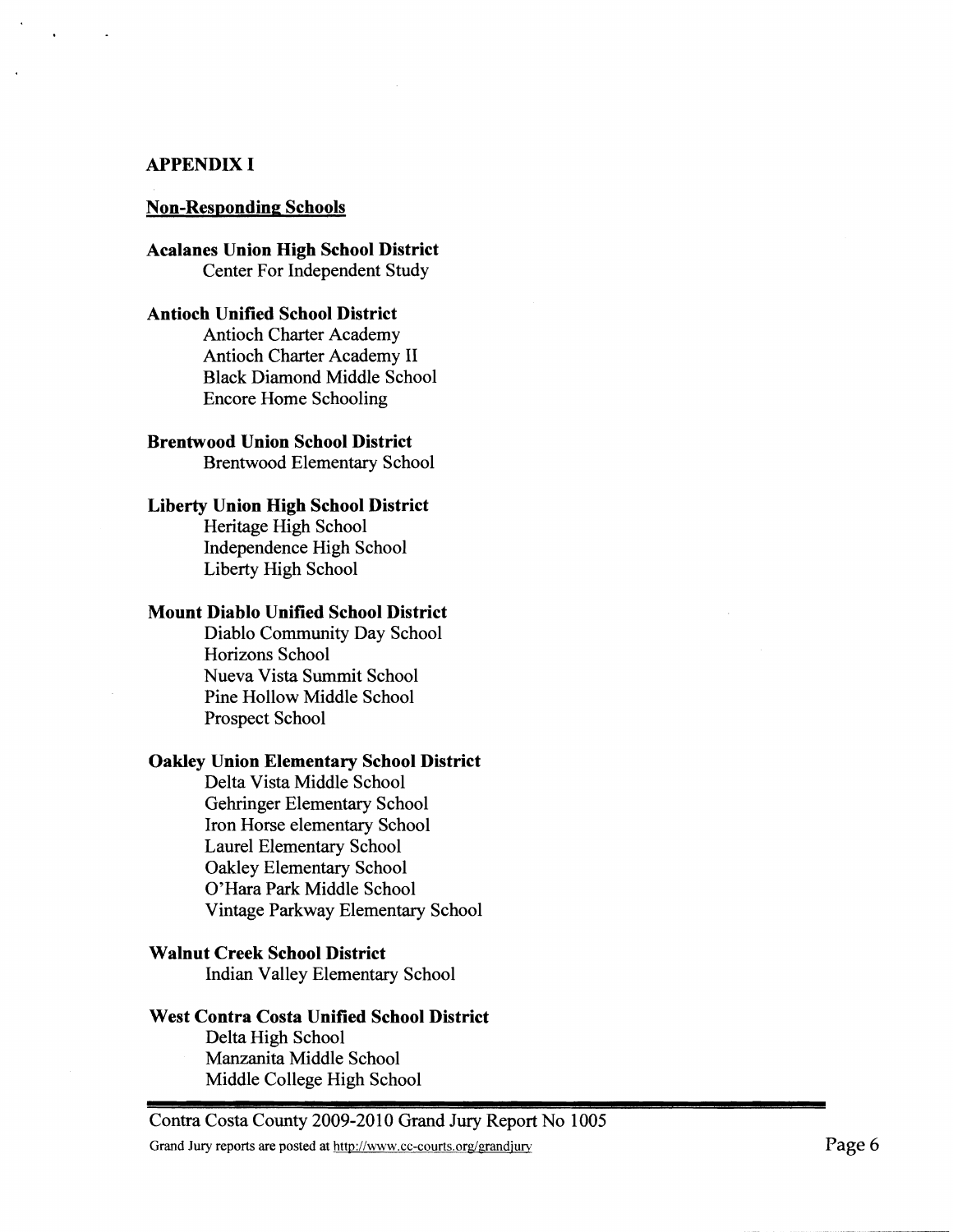#### **APPENDIX I**

#### **Non-Responding Schools**

**Acalanes Union High School District**  Center For Independent Study

### **Antioch Unified School District**

Antioch Charter Academy Antioch Charter Academy **I1**  Black Diamond Middle School Encore Home Schooling

# **Brentwood Union School District**

Brentwood Elementary School

#### **Liberty Union High School District**

Heritage High School Independence High School Liberty High School

#### **Mount Diablo Unified School District**

Diablo Community Day School Horizons School Nueva Vista Summit School Pine Hollow Middle School Prospect School

#### **Oakley Union Elementary School District**

Delta Vista Middle School Gehringer Elementary School Iron Horse elementary School Laurel Elementary School Oakley Elementary School O'Hara Park Middle School Vintage Parkway Elementary School

## **Walnut Creek School District**

Indian Valley Elementary School

#### **West Contra Costa Unified School District**

Delta High School Manzanita Middle School Middle College High School

Contra Costa County 2009-2010 Grand Jury Report No 1005

Grand Jury reports are posted at http://www.cc-courts.org/grandjury **and a structure in the structure of the structure in the structure of**  $P$ **age 6**